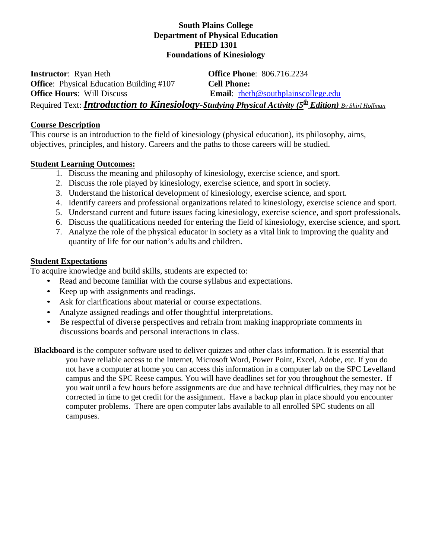### **South Plains College Department of Physical Education PHED 1301 Foundations of Kinesiology**

**Instructor**: Ryan Heth **Office Phone**: 806.716.2234 **Office**: Physical Education Building #107 **Cell Phone: Office Hours:** Will Discuss **Email:** rheth@southplainscollege.edu Required Text: *Introduction to Kinesiology-Studying Physical Activity (5th Edition) By [Shirl Hoffman](http://www.humankinetics.com/search#&sSearchWord=Shirl Hoffman)*

### **Course Description**

This course is an introduction to the field of kinesiology (physical education), its philosophy, aims, objectives, principles, and history. Careers and the paths to those careers will be studied.

### **Student Learning Outcomes:**

- 1. Discuss the meaning and philosophy of kinesiology, exercise science, and sport.
- 2. Discuss the role played by kinesiology, exercise science, and sport in society.
- 3. Understand the historical development of kinesiology, exercise science, and sport.
- 4. Identify careers and professional organizations related to kinesiology, exercise science and sport.
- 5. Understand current and future issues facing kinesiology, exercise science, and sport professionals.
- 6. Discuss the qualifications needed for entering the field of kinesiology, exercise science, and sport.
- 7. Analyze the role of the physical educator in society as a vital link to improving the quality and quantity of life for our nation's adults and children.

### **Student Expectations**

To acquire knowledge and build skills, students are expected to:

- Read and become familiar with the course syllabus and expectations.
- Keep up with assignments and readings.
- Ask for clarifications about material or course expectations.
- Analyze assigned readings and offer thoughtful interpretations.
- Be respectful of diverse perspectives and refrain from making inappropriate comments in discussions boards and personal interactions in class.

**Blackboard** is the computer software used to deliver quizzes and other class information. It is essential that you have reliable access to the Internet, Microsoft Word, Power Point, Excel, Adobe, etc. If you do not have a computer at home you can access this information in a computer lab on the SPC Levelland campus and the SPC Reese campus. You will have deadlines set for you throughout the semester. If you wait until a few hours before assignments are due and have technical difficulties, they may not be corrected in time to get credit for the assignment. Have a backup plan in place should you encounter computer problems. There are open computer labs available to all enrolled SPC students on all campuses.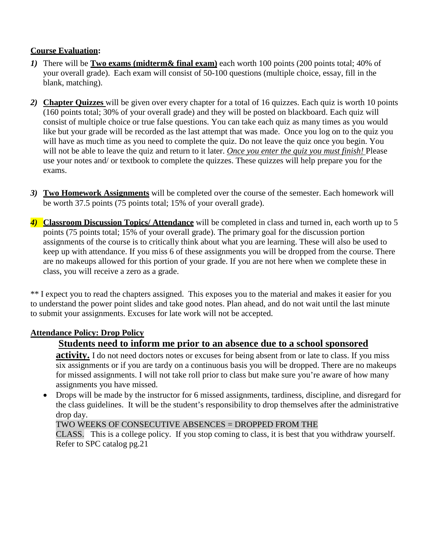### **Course Evaluation:**

- *1)* There will be **Two exams (midterm& final exam)** each worth 100 points (200 points total; 40% of your overall grade). Each exam will consist of 50-100 questions (multiple choice, essay, fill in the blank, matching).
- *2)* **Chapter Quizzes** will be given over every chapter for a total of 16 quizzes. Each quiz is worth 10 points (160 points total; 30% of your overall grade) and they will be posted on blackboard. Each quiz will consist of multiple choice or true false questions. You can take each quiz as many times as you would like but your grade will be recorded as the last attempt that was made. Once you log on to the quiz you will have as much time as you need to complete the quiz. Do not leave the quiz once you begin. You will not be able to leave the quiz and return to it later. *Once you enter the quiz you must finish!* Please use your notes and/ or textbook to complete the quizzes. These quizzes will help prepare you for the exams.
- *3)* **Two Homework Assignments** will be completed over the course of the semester. Each homework will be worth 37.5 points (75 points total; 15% of your overall grade).
- *4)* **Classroom Discussion Topics/ Attendance** will be completed in class and turned in, each worth up to 5 points (75 points total; 15% of your overall grade). The primary goal for the discussion portion assignments of the course is to critically think about what you are learning. These will also be used to keep up with attendance. If you miss 6 of these assignments you will be dropped from the course. There are no makeups allowed for this portion of your grade. If you are not here when we complete these in class, you will receive a zero as a grade.

\*\* I expect you to read the chapters assigned. This exposes you to the material and makes it easier for you to understand the power point slides and take good notes. Plan ahead, and do not wait until the last minute to submit your assignments. Excuses for late work will not be accepted.

### **Attendance Policy: Drop Policy**

### **Students need to inform me prior to an absence due to a school sponsored**

**activity.** I do not need doctors notes or excuses for being absent from or late to class. If you miss six assignments or if you are tardy on a continuous basis you will be dropped. There are no makeups for missed assignments. I will not take roll prior to class but make sure you're aware of how many assignments you have missed.

• Drops will be made by the instructor for 6 missed assignments, tardiness, discipline, and disregard for the class guidelines. It will be the student's responsibility to drop themselves after the administrative drop day.

### TWO WEEKS OF CONSECUTIVE ABSENCES = DROPPED FROM THE

CLASS. This is a college policy. If you stop coming to class, it is best that you withdraw yourself. Refer to SPC catalog pg.21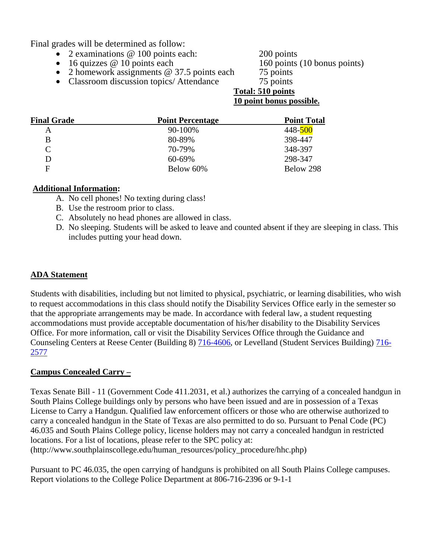Final grades will be determined as follow:

- 2 examinations @ 100 points each: 200 points 200 points <br>• 16 quizzes @ 10 points each 160 points (10 bonus points)
- $\bullet$  16 quizzes  $@$  10 points each
- 2 homework assignments @ 37.5 points each 75 points<br>• Classroom discussion topics/ Attendance 75 points
- Classroom discussion topics/ Attendance

# **Total: 510 points**

### **10 point bonus possible.**

| <b>Final Grade</b> | <b>Point Percentage</b> | <b>Point Total</b> |
|--------------------|-------------------------|--------------------|
| A                  | 90-100%                 | 448-500            |
| B                  | 80-89%                  | 398-447            |
| C                  | 70-79%                  | 348-397            |
| D                  | 60-69%                  | 298-347            |
| F                  | Below 60%               | Below 298          |

### **Additional Information:**

- A. No cell phones! No texting during class!
- B. Use the restroom prior to class.
- C. Absolutely no head phones are allowed in class.
- D. No sleeping. Students will be asked to leave and counted absent if they are sleeping in class. This includes putting your head down.

### **ADA Statement**

Students with disabilities, including but not limited to physical, psychiatric, or learning disabilities, who wish to request accommodations in this class should notify the Disability Services Office early in the semester so that the appropriate arrangements may be made. In accordance with federal law, a student requesting accommodations must provide acceptable documentation of his/her disability to the Disability Services Office. For more information, call or visit the Disability Services Office through the Guidance and Counseling Centers at Reese Center (Building 8) [716-4606,](tel:716-4606) or Levelland (Student Services Building) [716-](tel:716-2577) [2577](tel:716-2577)

### **Campus Concealed Carry –**

Texas Senate Bill - 11 (Government Code 411.2031, et al.) authorizes the carrying of a concealed handgun in South Plains College buildings only by persons who have been issued and are in possession of a Texas License to Carry a Handgun. Qualified law enforcement officers or those who are otherwise authorized to carry a concealed handgun in the State of Texas are also permitted to do so. Pursuant to Penal Code (PC) 46.035 and South Plains College policy, license holders may not carry a concealed handgun in restricted locations. For a list of locations, please refer to the SPC policy at: (http://www.southplainscollege.edu/human\_resources/policy\_procedure/hhc.php)

Pursuant to PC 46.035, the open carrying of handguns is prohibited on all South Plains College campuses. Report violations to the College Police Department at 806-716-2396 or 9-1-1